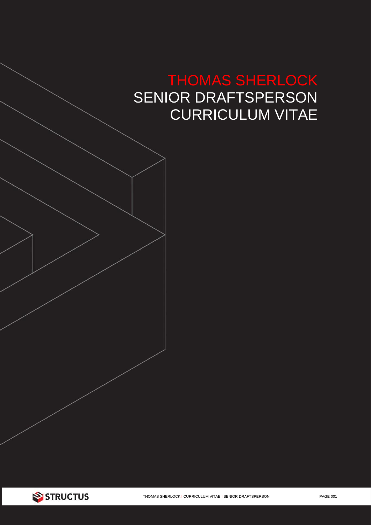# THOMAS SHERLOCK SENIOR DRAFTSPERSON CURRICULUM VITAE

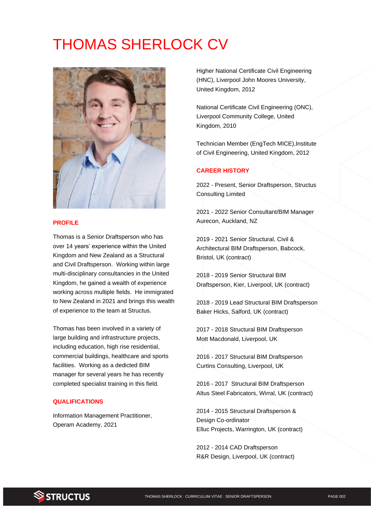# THOMAS SHERLOCK CV



## **PROFILE**

Thomas is a Senior Draftsperson who has over 14 years' experience within the United Kingdom and New Zealand as a Structural and Civil Draftsperson. Working within large multi-disciplinary consultancies in the United Kingdom, he gained a wealth of experience working across multiple fields. He immigrated to New Zealand in 2021 and brings this wealth of experience to the team at Structus.

Thomas has been involved in a variety of large building and infrastructure projects, including education, high rise residential, commercial buildings, healthcare and sports facilities. Working as a dedicted BIM manager for several years he has recently completed specialist training in this field.

#### **QUALIFICATIONS**

Information Management Practitioner, Operam Academy, 2021

Higher National Certificate Civil Engineering (HNC), Liverpool John Moores University, United Kingdom, 2012

National Certificate Civil Engineering (ONC), Liverpool Community College, United Kingdom, 2010

Technician Member (EngTech MICE),Institute of Civil Engineering, United Kingdom, 2012

## **CAREER HISTORY**

2022 - Present, Senior Draftsperson, Structus Consulting Limited

2021 - 2022 Senior Consultant/BIM Manager Aurecon, Auckland, NZ

2019 - 2021 Senior Structural, Civil & Architectural BIM Draftsperson, Babcock, Bristol, UK (contract)

2018 - 2019 Senior Structural BIM Draftsperson, Kier, Liverpool, UK (contract)

2018 - 2019 Lead Structural BIM Draftsperson Baker Hicks, Salford, UK (contract)

2017 - 2018 Structural BIM Draftsperson Mott Macdonald, Liverpool, UK

2016 - 2017 Structural BIM Draftsperson Curtins Consulting, Liverpool, UK

2016 - 2017 Structural BIM Draftsperson Altus Steel Fabricators, Wirral, UK (contract)

2014 - 2015 Structural Draftsperson & Design Co-ordinator Elluc Projects, Warrington, UK (contract)

2012 - 2014 CAD Draftsperson R&R Design, Liverpool, UK (contract)

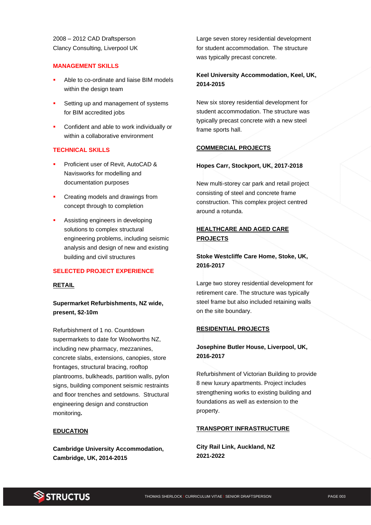2008 – 2012 CAD Draftsperson Clancy Consulting, Liverpool UK

#### **MANAGEMENT SKILLS**

- Able to co-ordinate and liaise BIM models within the design team
- Setting up and management of systems for BIM accredited jobs
- Confident and able to work individually or within a collaborative environment

## **TECHNICAL SKILLS**

- Proficient user of Revit, AutoCAD & Navisworks for modelling and documentation purposes
- Creating models and drawings from concept through to completion
- Assisting engineers in developing solutions to complex structural engineering problems, including seismic analysis and design of new and existing building and civil structures

#### **SELECTED PROJECT EXPERIENCE**

## **RETAIL**

**Supermarket Refurbishments, NZ wide, present, \$2-10m**

Refurbishment of 1 no. Countdown supermarkets to date for Woolworths NZ, including new pharmacy, mezzanines, concrete slabs, extensions, canopies, store frontages, structural bracing, rooftop plantrooms, bulkheads, partition walls, pylon signs, building component seismic restraints and floor trenches and setdowns. Structural engineering design and construction monitoring**.** 

#### **EDUCATION**

**Cambridge University Accommodation, Cambridge, UK, 2014-2015**

Large seven storey residential development for student accommodation. The structure was typically precast concrete.

# **Keel University Accommodation, Keel, UK, 2014-2015**

New six storey residential development for student accommodation. The structure was typically precast concrete with a new steel frame sports hall.

## **COMMERCIAL PROJECTS**

#### **Hopes Carr, Stockport, UK, 2017-2018**

New multi-storey car park and retail project consisting of steel and concrete frame construction. This complex project centred around a rotunda.

# **HEALTHCARE AND AGED CARE PROJECTS**

# **Stoke Westcliffe Care Home, Stoke, UK, 2016-2017**

Large two storey residential development for retirement care. The structure was typically steel frame but also included retaining walls on the site boundary.

#### **RESIDENTIAL PROJECTS**

# **Josephine Butler House, Liverpool, UK, 2016-2017**

Refurbishment of Victorian Building to provide 8 new luxury apartments. Project includes strengthening works to existing building and foundations as well as extension to the property.

#### **TRANSPORT INFRASTRUCTURE**

**City Rail Link, Auckland, NZ 2021-2022**

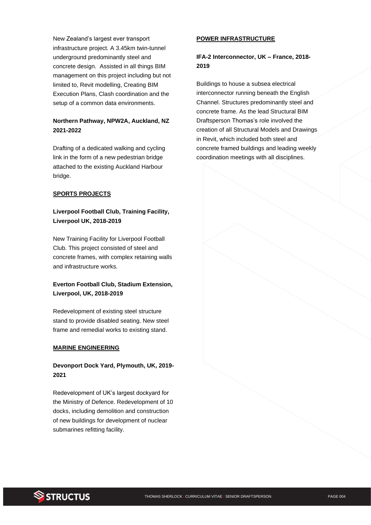New Zealand's largest ever transport infrastructure project. A 3.45km twin-tunnel underground predominantly steel and concrete design. Assisted in all things BIM management on this project including but not limited to, Revit modelling, Creating BIM Execution Plans, Clash coordination and the setup of a common data environments.

# **Northern Pathway, NPW2A, Auckland, NZ 2021-2022**

Drafting of a dedicated walking and cycling link in the form of a new pedestrian bridge attached to the existing Auckland Harbour bridge.

## **SPORTS PROJECTS**

# **Liverpool Football Club, Training Facility, Liverpool UK, 2018-2019**

New Training Facility for Liverpool Football Club. This project consisted of steel and concrete frames, with complex retaining walls and infrastructure works.

# **Everton Football Club, Stadium Extension, Liverpool, UK, 2018-2019**

Redevelopment of existing steel structure stand to provide disabled seating. New steel frame and remedial works to existing stand.

### **MARINE ENGINEERING**

## **Devonport Dock Yard, Plymouth, UK, 2019- 2021**

Redevelopment of UK's largest dockyard for the Ministry of Defence. Redevelopment of 10 docks, including demolition and construction of new buildings for development of nuclear submarines refitting facility.

### **POWER INFRASTRUCTURE**

**IFA-2 Interconnector, UK – France, 2018- 2019**

Buildings to house a subsea electrical interconnector running beneath the English Channel. Structures predominantly steel and concrete frame. As the lead Structural BIM Draftsperson Thomas's role involved the creation of all Structural Models and Drawings in Revit, which included both steel and concrete framed buildings and leading weekly coordination meetings with all disciplines.